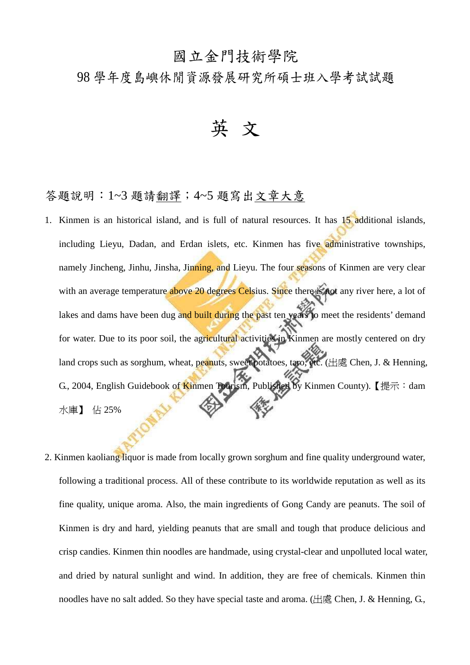## 國立金門技術學院

98 學年度島嶼休閒資源發展研究所碩士班入學考試試題

英 文

## 答題說明: 1~3 題請翻譯; 4~5 題寫出文章大意

- 1. Kinmen is an historical island, and is full of natural resources. It has 15 additional islands, including Lieyu, Dadan, and Erdan islets, etc. Kinmen has five administrative townships, namely Jincheng, Jinhu, Jinsha, Jinning, and Lieyu. The four seasons of Kinmen are very clear with an average temperature above 20 degrees Celsius. Since there is not any river here, a lot of lakes and dams have been dug and built during the past ten years to meet the residents' demand for water. Due to its poor soil, the agricultural activities in Kinmen are mostly centered on dry land crops such as sorghum, wheat, peanuts, sweet potatoes, taro, etc. (出處 Chen, J. & Henning, G., 2004, English Guidebook of Kinmen Tourism, Published By Kinmen County).【提示: dam 水庫】 佔 25%
- 2. Kinmen kaoliang liquor is made from locally grown sorghum and fine quality underground water, following a traditional process. All of these contribute to its worldwide reputation as well as its fine quality, unique aroma. Also, the main ingredients of Gong Candy are peanuts. The soil of Kinmen is dry and hard, yielding peanuts that are small and tough that produce delicious and crisp candies. Kinmen thin noodles are handmade, using crystal-clear and unpolluted local water, and dried by natural sunlight and wind. In addition, they are free of chemicals. Kinmen thin noodles have no salt added. So they have special taste and aroma. (出處 Chen, J. & Henning, G.,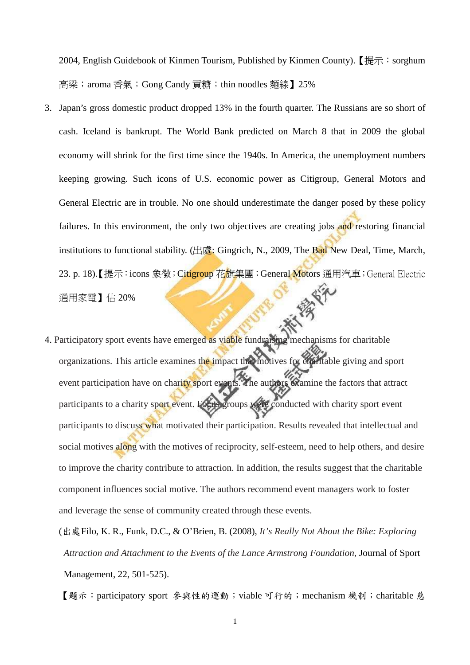2004, English Guidebook of Kinmen Tourism, Published by Kinmen County). 【提示: sorghum 高梁; aroma 香氣; Gong Candy 貢糖; thin noodles 麵線】 25%

- 3. Japan's gross domestic product dropped 13% in the fourth quarter. The Russians are so short of cash. Iceland is bankrupt. The World Bank predicted on March 8 that in 2009 the global economy will shrink for the first time since the 1940s. In America, the unemployment numbers keeping growing. Such icons of U.S. economic power as Citigroup, General Motors and General Electric are in trouble. No one should underestimate the danger posed by these policy failures. In this environment, the only two objectives are creating jobs and restoring financial institutions to functional stability. (出處: Gingrich, N., 2009, The Bad New Deal, Time, March, 23. p. 18). 【提示: icons 象徵; Citigroup 花旗集團; General Motors 通用汽車; General Electric 通用家電】佔 20%
- 4. Participatory sport events have emerged as viable fundraising mechanisms for charitable organizations. This article examines the impact that motives for charitable giving and sport event participation have on charity sport events. The authors examine the factors that attract participants to a charity sport event. Focus groups were conducted with charity sport event participants to discuss what motivated their participation. Results revealed that intellectual and social motives along with the motives of reciprocity, self-esteem, need to help others, and desire to improve the charity contribute to attraction. In addition, the results suggest that the charitable component influences social motive. The authors recommend event managers work to foster and leverage the sense of community created through these events.
	- (出處Filo, K. R., Funk, D.C., & O'Brien, B. (2008), *It's Really Not About the Bike: Exploring Attraction and Attachment to the Events of the Lance Armstrong Foundation*, Journal of Sport Management, 22, 501-525).

【題示: participatory sport 參與性的運動; viable 可行的; mechanism 機制; charitable 慈